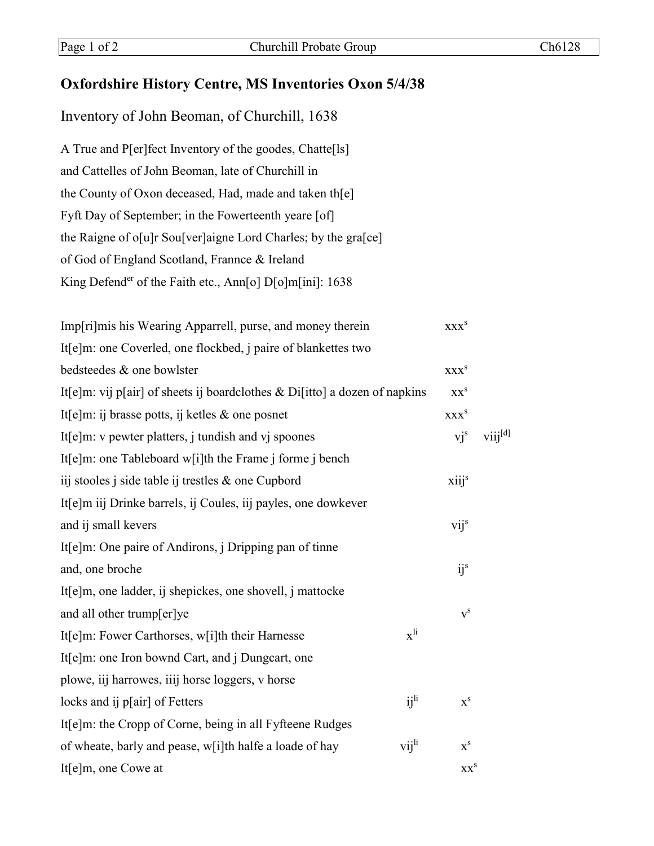## **Oxfordshire History Centre, MS Inventories Oxon 5/4/38**

Inventory of John Beoman, of Churchill, 1638

A True and P[er]fect Inventory of the goodes, Chatte[ls] and Cattelles of John Beoman, late of Churchill in the County of Oxon deceased, Had, made and taken th[e] Fyft Day of September; in the Fowerteenth yeare [of] the Raigne of o[u]r Sou[ver]aigne Lord Charles; by the gra[ce] of God of England Scotland, Frannce & Ireland King Defender of the Faith etc., Ann[o] D[o]m[ini]: 1638

| Imp[ri]mis his Wearing Apparrell, purse, and money therein                 |                          | XXX <sup>S</sup>            |              |
|----------------------------------------------------------------------------|--------------------------|-----------------------------|--------------|
| It[e]m: one Coverled, one flockbed, j paire of blankettes two              |                          |                             |              |
| bedsteedes & one bowlster                                                  |                          | $\mathbf{XXX}^{\mathbf{S}}$ |              |
| It[e]m: vij p[air] of sheets ij boardclothes & Di[itto] a dozen of napkins |                          | XX <sup>S</sup>             |              |
| It[e]m: ij brasse potts, ij ketles $\&$ one posnet                         |                          | <b>XXX</b> <sup>S</sup>     |              |
| It[e]m: v pewter platters, j tundish and vj spoones                        |                          | $vj^s$                      | $viii^{[d]}$ |
| It[e]m: one Tableboard w[i]th the Frame j forme j bench                    |                          |                             |              |
| iij stooles j side table ij trestles & one Cupbord                         |                          | xiij <sup>s</sup>           |              |
| It[e]m iij Drinke barrels, ij Coules, iij payles, one dowkever             |                          |                             |              |
| and ij small kevers                                                        |                          | vij <sup>s</sup>            |              |
| It[e]m: One paire of Andirons, <i>j</i> Dripping pan of tinne              |                          |                             |              |
| and, one broche                                                            |                          | ij <sup>s</sup>             |              |
| It[e]m, one ladder, ij shepickes, one shovell, j mattocke                  |                          |                             |              |
| and all other trump[er]ye                                                  |                          | $v^s$                       |              |
| It[e]m: Fower Carthorses, w[i]th their Harnesse                            | $\mathbf{x}^{\text{li}}$ |                             |              |
| It[e]m: one Iron bownd Cart, and j Dungcart, one                           |                          |                             |              |
| plowe, iij harrowes, iiij horse loggers, v horse                           |                          |                             |              |
| locks and ij p[air] of Fetters                                             | i j <sup>li</sup>        | $x^s$                       |              |
| It[e]m: the Cropp of Corne, being in all Fyfteene Rudges                   |                          |                             |              |
| of wheate, barly and pease, w[i]th halfe a loade of hay                    | vij <sup>li</sup>        | $\mathbf{x}^{\rm s}$        |              |
| It[e]m, one Cowe at                                                        |                          | XX <sup>S</sup>             |              |